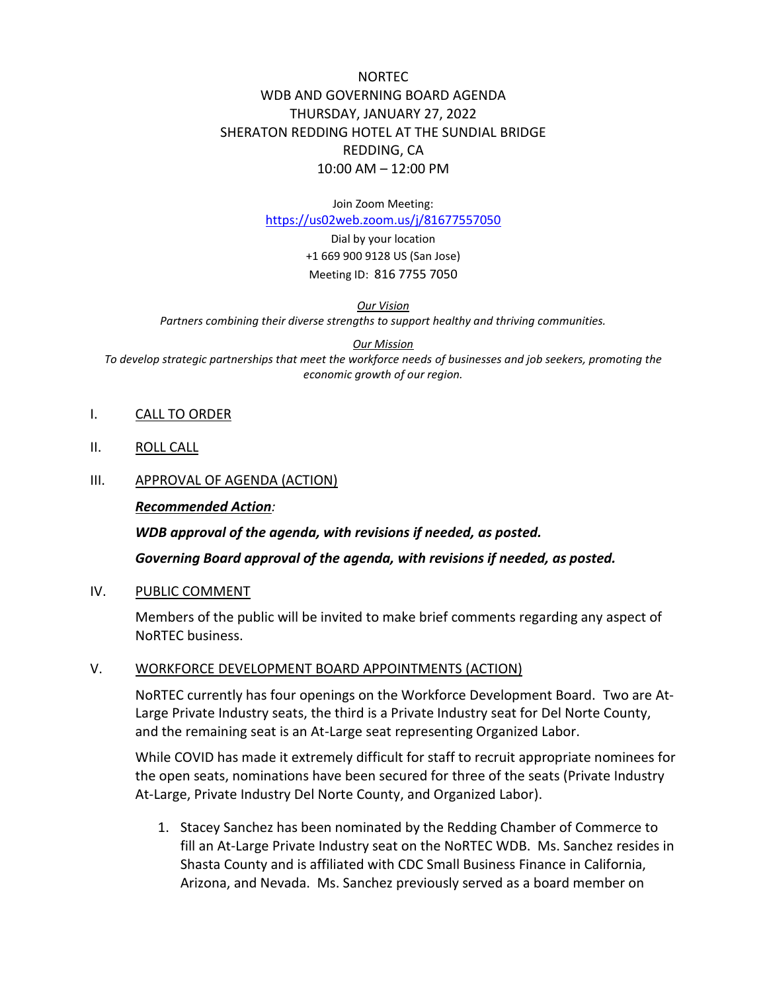# NORTEC WDB AND GOVERNING BOARD AGENDA THURSDAY, JANUARY 27, 2022 SHERATON REDDING HOTEL AT THE SUNDIAL BRIDGE REDDING, CA 10:00 AM – 12:00 PM

Join Zoom Meeting:

<https://us02web.zoom.us/j/81677557050>

Dial by your location +1 669 900 9128 US (San Jose) Meeting ID: 816 7755 7050

*Our Vision* 

*Partners combining their diverse strengths to support healthy and thriving communities.*

#### *Our Mission*

*To develop strategic partnerships that meet the workforce needs of businesses and job seekers, promoting the economic growth of our region.*

#### I. CALL TO ORDER

II. ROLL CALL

#### III. APPROVAL OF AGENDA (ACTION)

#### *Recommended Action:*

*WDB approval of the agenda, with revisions if needed, as posted. Governing Board approval of the agenda, with revisions if needed, as posted.*

#### IV. PUBLIC COMMENT

Members of the public will be invited to make brief comments regarding any aspect of NoRTEC business.

#### V. WORKFORCE DEVELOPMENT BOARD APPOINTMENTS (ACTION)

NoRTEC currently has four openings on the Workforce Development Board. Two are At-Large Private Industry seats, the third is a Private Industry seat for Del Norte County, and the remaining seat is an At-Large seat representing Organized Labor.

While COVID has made it extremely difficult for staff to recruit appropriate nominees for the open seats, nominations have been secured for three of the seats (Private Industry At-Large, Private Industry Del Norte County, and Organized Labor).

1. Stacey Sanchez has been nominated by the Redding Chamber of Commerce to fill an At-Large Private Industry seat on the NoRTEC WDB. Ms. Sanchez resides in Shasta County and is affiliated with CDC Small Business Finance in California, Arizona, and Nevada. Ms. Sanchez previously served as a board member on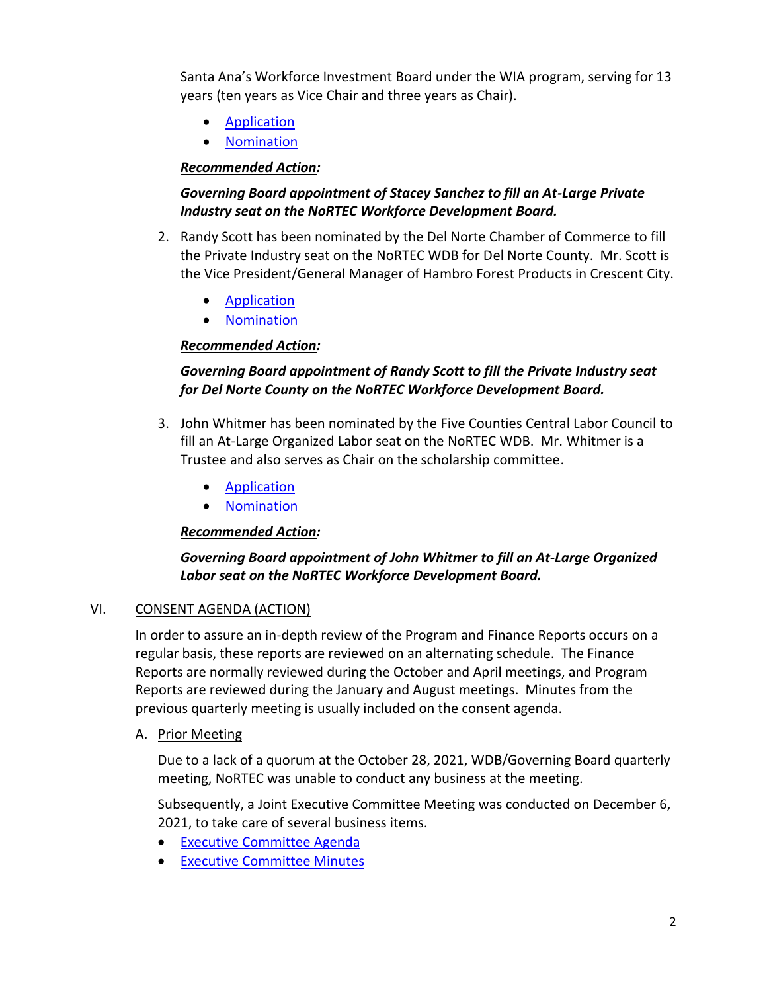Santa Ana's Workforce Investment Board under the WIA program, serving for 13 years (ten years as Vice Chair and three years as Chair).

- **[Application](https://www.ncen.org/images/documents/WDB_Applications/2022/WDB-Application-Sanchez-2022.pdf)**
- [Nomination](https://www.ncen.org/images/documents/WDB_Applications/2022/WDB-Nomination-Sanchez-2022.pdf)

## *Recommended Action:*

### *Governing Board appointment of Stacey Sanchez to fill an At-Large Private Industry seat on the NoRTEC Workforce Development Board.*

- 2. Randy Scott has been nominated by the Del Norte Chamber of Commerce to fill the Private Industry seat on the NoRTEC WDB for Del Norte County. Mr. Scott is the Vice President/General Manager of Hambro Forest Products in Crescent City.
	- [Application](https://www.ncen.org/images/documents/WDB_Applications/2022/WDB-Application-Scott-2022.pdf)
	- [Nomination](https://www.ncen.org/images/documents/WDB_Applications/2022/WDB-Nomination-Scott-2022.pdf)

## *Recommended Action:*

# *Governing Board appointment of Randy Scott to fill the Private Industry seat for Del Norte County on the NoRTEC Workforce Development Board.*

- 3. John Whitmer has been nominated by the Five Counties Central Labor Council to fill an At-Large Organized Labor seat on the NoRTEC WDB. Mr. Whitmer is a Trustee and also serves as Chair on the scholarship committee.
	- [Application](https://www.ncen.org/images/documents/WDB_Applications/2022/WDB-Application-Whitmer-2022.pdf)
	- [Nomination](https://www.ncen.org/images/documents/WDB_Applications/2022/WDB-Nomination-Whitmer-2022.pdf)

## *Recommended Action:*

# *Governing Board appointment of John Whitmer to fill an At-Large Organized Labor seat on the NoRTEC Workforce Development Board.*

## VI. CONSENT AGENDA (ACTION)

In order to assure an in-depth review of the Program and Finance Reports occurs on a regular basis, these reports are reviewed on an alternating schedule. The Finance Reports are normally reviewed during the October and April meetings, and Program Reports are reviewed during the January and August meetings. Minutes from the previous quarterly meeting is usually included on the consent agenda.

#### A. Prior Meeting

Due to a lack of a quorum at the October 28, 2021, WDB/Governing Board quarterly meeting, NoRTEC was unable to conduct any business at the meeting.

Subsequently, a Joint Executive Committee Meeting was conducted on December 6, 2021, to take care of several business items.

- [Executive Committee Agenda](https://www.ncen.org/images/documents/meetings/2021-2022/eca-1221.pdf)
- [Executive Committee Minutes](https://www.ncen.org/images/documents/meetings/2021-2022/ecm-1221.pdf)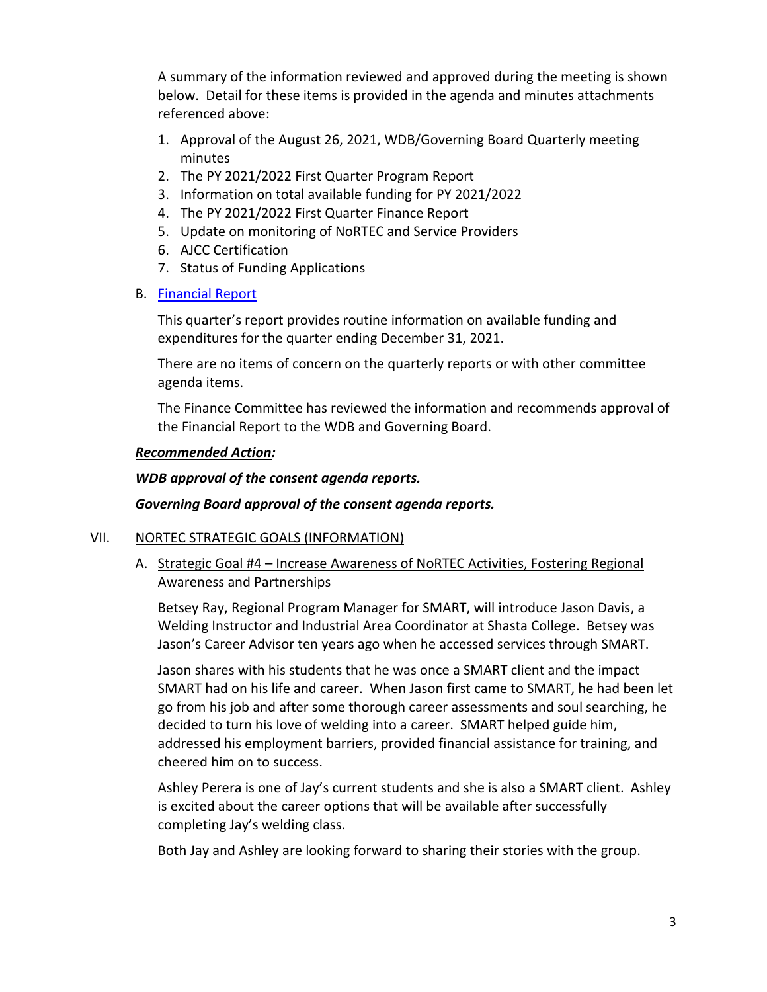A summary of the information reviewed and approved during the meeting is shown below. Detail for these items is provided in the agenda and minutes attachments referenced above:

- 1. Approval of the August 26, 2021, WDB/Governing Board Quarterly meeting minutes
- 2. The PY 2021/2022 First Quarter Program Report
- 3. Information on total available funding for PY 2021/2022
- 4. The PY 2021/2022 First Quarter Finance Report
- 5. Update on monitoring of NoRTEC and Service Providers
- 6. AJCC Certification
- 7. Status of Funding Applications
- B. [Financial Report](https://www.ncen.org/images/documents/meetings/2021-2022/financial-report-wgba-0122.pdf)

This quarter's report provides routine information on available funding and expenditures for the quarter ending December 31, 2021.

There are no items of concern on the quarterly reports or with other committee agenda items.

The Finance Committee has reviewed the information and recommends approval of the Financial Report to the WDB and Governing Board.

#### *Recommended Action:*

#### *WDB approval of the consent agenda reports.*

#### *Governing Board approval of the consent agenda reports.*

#### VII. NORTEC STRATEGIC GOALS (INFORMATION)

A. Strategic Goal #4 – Increase Awareness of NoRTEC Activities, Fostering Regional Awareness and Partnerships

Betsey Ray, Regional Program Manager for SMART, will introduce Jason Davis, a Welding Instructor and Industrial Area Coordinator at Shasta College. Betsey was Jason's Career Advisor ten years ago when he accessed services through SMART.

Jason shares with his students that he was once a SMART client and the impact SMART had on his life and career. When Jason first came to SMART, he had been let go from his job and after some thorough career assessments and soul searching, he decided to turn his love of welding into a career. SMART helped guide him, addressed his employment barriers, provided financial assistance for training, and cheered him on to success.

Ashley Perera is one of Jay's current students and she is also a SMART client. Ashley is excited about the career options that will be available after successfully completing Jay's welding class.

Both Jay and Ashley are looking forward to sharing their stories with the group.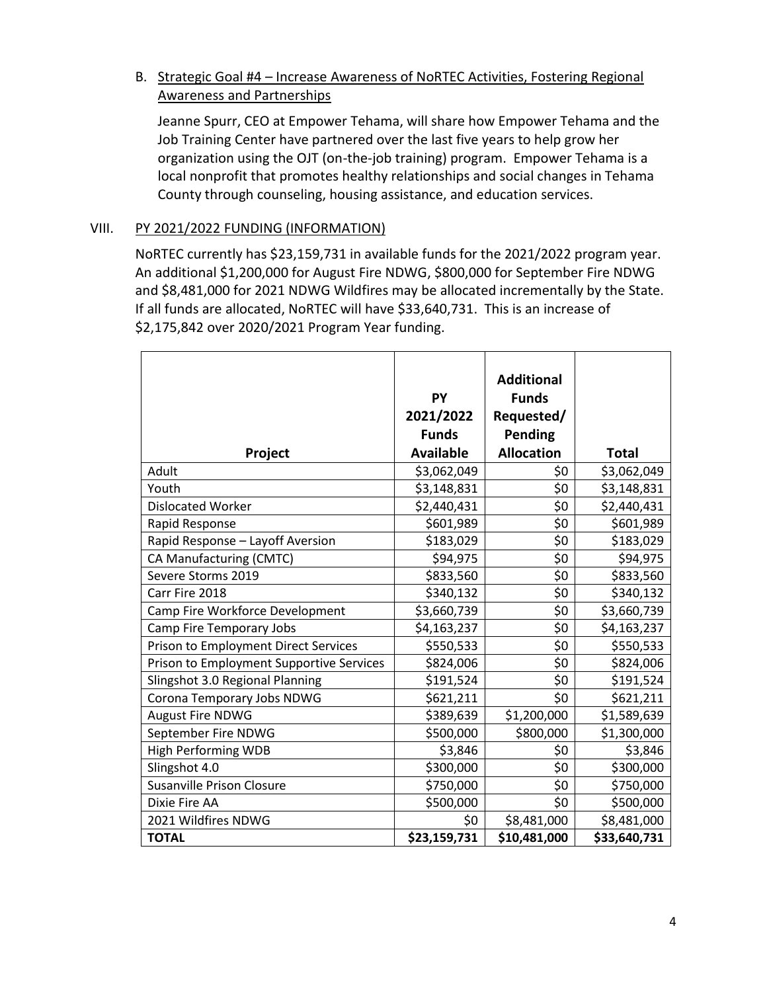## B. Strategic Goal #4 – Increase Awareness of NoRTEC Activities, Fostering Regional Awareness and Partnerships

Jeanne Spurr, CEO at Empower Tehama, will share how Empower Tehama and the Job Training Center have partnered over the last five years to help grow her organization using the OJT (on-the-job training) program. Empower Tehama is a local nonprofit that promotes healthy relationships and social changes in Tehama County through counseling, housing assistance, and education services.

### VIII. PY 2021/2022 FUNDING (INFORMATION)

NoRTEC currently has \$23,159,731 in available funds for the 2021/2022 program year. An additional \$1,200,000 for August Fire NDWG, \$800,000 for September Fire NDWG and \$8,481,000 for 2021 NDWG Wildfires may be allocated incrementally by the State. If all funds are allocated, NoRTEC will have \$33,640,731. This is an increase of \$2,175,842 over 2020/2021 Program Year funding.

|                                             | PY<br>2021/2022<br><b>Funds</b> | <b>Additional</b><br><b>Funds</b><br>Requested/<br><b>Pending</b> |              |
|---------------------------------------------|---------------------------------|-------------------------------------------------------------------|--------------|
| Project                                     | <b>Available</b>                | <b>Allocation</b>                                                 | <b>Total</b> |
| Adult                                       | \$3,062,049                     | \$0                                                               | \$3,062,049  |
| Youth                                       | \$3,148,831                     | \$0                                                               | \$3,148,831  |
| <b>Dislocated Worker</b>                    | \$2,440,431                     | \$0                                                               | \$2,440,431  |
| Rapid Response                              | \$601,989                       | \$0                                                               | \$601,989    |
| Rapid Response - Layoff Aversion            | \$183,029                       | \$0                                                               | \$183,029    |
| CA Manufacturing (CMTC)                     | \$94,975                        | \$0                                                               | \$94,975     |
| Severe Storms 2019                          | \$833,560                       | \$0                                                               | \$833,560    |
| Carr Fire 2018                              | \$340,132                       | \$0                                                               | \$340,132    |
| Camp Fire Workforce Development             | \$3,660,739                     | \$0                                                               | \$3,660,739  |
| Camp Fire Temporary Jobs                    | \$4,163,237                     | \$0                                                               | \$4,163,237  |
| <b>Prison to Employment Direct Services</b> | \$550,533                       | \$0                                                               | \$550,533    |
| Prison to Employment Supportive Services    | \$824,006                       | \$0                                                               | \$824,006    |
| Slingshot 3.0 Regional Planning             | \$191,524                       | \$0                                                               | \$191,524    |
| Corona Temporary Jobs NDWG                  | \$621,211                       | \$0                                                               | \$621,211    |
| <b>August Fire NDWG</b>                     | \$389,639                       | \$1,200,000                                                       | \$1,589,639  |
| September Fire NDWG                         | \$500,000                       | \$800,000                                                         | \$1,300,000  |
| <b>High Performing WDB</b>                  | \$3,846                         | \$0                                                               | \$3,846      |
| Slingshot 4.0                               | \$300,000                       | \$0                                                               | \$300,000    |
| <b>Susanville Prison Closure</b>            | \$750,000                       | \$0                                                               | \$750,000    |
| Dixie Fire AA                               | \$500,000                       | \$0                                                               | \$500,000    |
| 2021 Wildfires NDWG                         | \$0                             | \$8,481,000                                                       | \$8,481,000  |
| <b>TOTAL</b>                                | \$23,159,731                    | \$10,481,000                                                      | \$33,640,731 |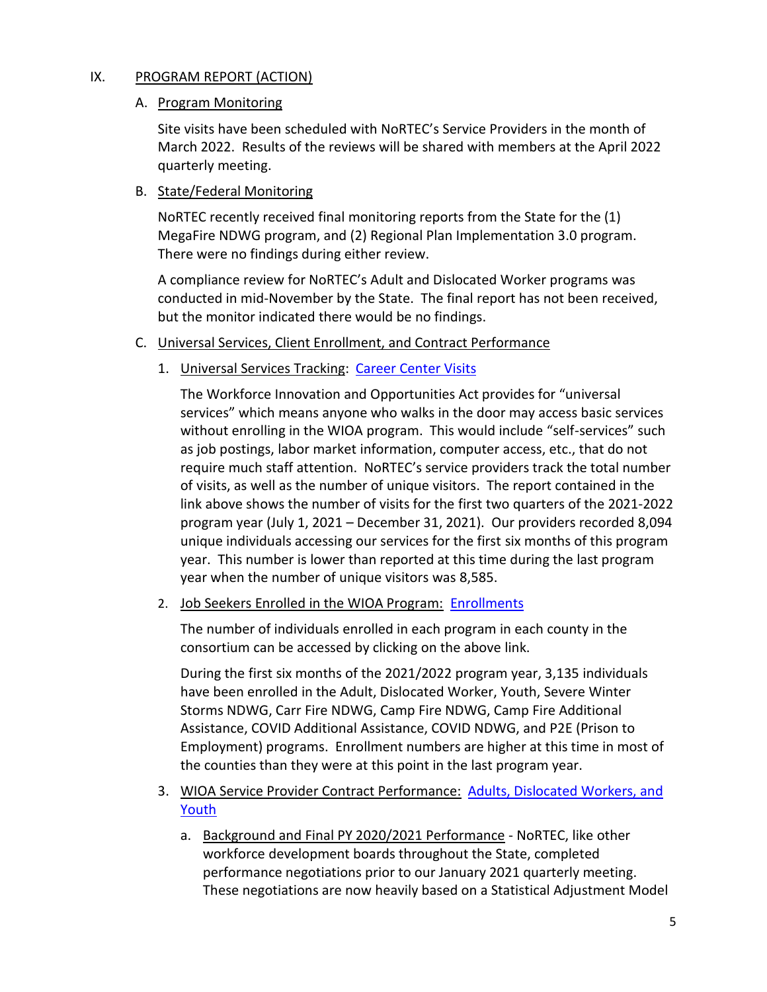## IX. PROGRAM REPORT (ACTION)

## A. Program Monitoring

Site visits have been scheduled with NoRTEC's Service Providers in the month of March 2022. Results of the reviews will be shared with members at the April 2022 quarterly meeting.

## B. State/Federal Monitoring

NoRTEC recently received final monitoring reports from the State for the (1) MegaFire NDWG program, and (2) Regional Plan Implementation 3.0 program. There were no findings during either review.

A compliance review for NoRTEC's Adult and Dislocated Worker programs was conducted in mid-November by the State. The final report has not been received, but the monitor indicated there would be no findings.

- C. Universal Services, Client Enrollment, and Contract Performance
	- 1. Universal Services Tracking: [Career Center Visits](https://www.ncen.org/images/documents/meetings/2021-2022/career-center-visits-123121.pdf)

The Workforce Innovation and Opportunities Act provides for "universal services" which means anyone who walks in the door may access basic services without enrolling in the WIOA program. This would include "self-services" such as job postings, labor market information, computer access, etc., that do not require much staff attention. NoRTEC's service providers track the total number of visits, as well as the number of unique visitors. The report contained in the link above shows the number of visits for the first two quarters of the 2021-2022 program year (July 1, 2021 – December 31, 2021). Our providers recorded 8,094 unique individuals accessing our services for the first six months of this program year. This number is lower than reported at this time during the last program year when the number of unique visitors was 8,585.

2. Job Seekers Enrolled in the WIOA Program: [Enrollments](https://www.ncen.org/images/documents/meetings/2021-2022/WIOA-enrollments-123121.pdf)

The number of individuals enrolled in each program in each county in the consortium can be accessed by clicking on the above link.

During the first six months of the 2021/2022 program year, 3,135 individuals have been enrolled in the Adult, Dislocated Worker, Youth, Severe Winter Storms NDWG, Carr Fire NDWG, Camp Fire NDWG, Camp Fire Additional Assistance, COVID Additional Assistance, COVID NDWG, and P2E (Prison to Employment) programs. Enrollment numbers are higher at this time in most of the counties than they were at this point in the last program year.

- 3. WIOA Service Provider Contract Performance: [Adults, Dislocated Workers, and](https://www.ncen.org/images/documents/meetings/2021-2022/contract-performance-123121.pdf)  [Youth](https://www.ncen.org/images/documents/meetings/2021-2022/contract-performance-123121.pdf) 
	- a. Background and Final PY 2020/2021 Performance NoRTEC, like other workforce development boards throughout the State, completed performance negotiations prior to our January 2021 quarterly meeting. These negotiations are now heavily based on a Statistical Adjustment Model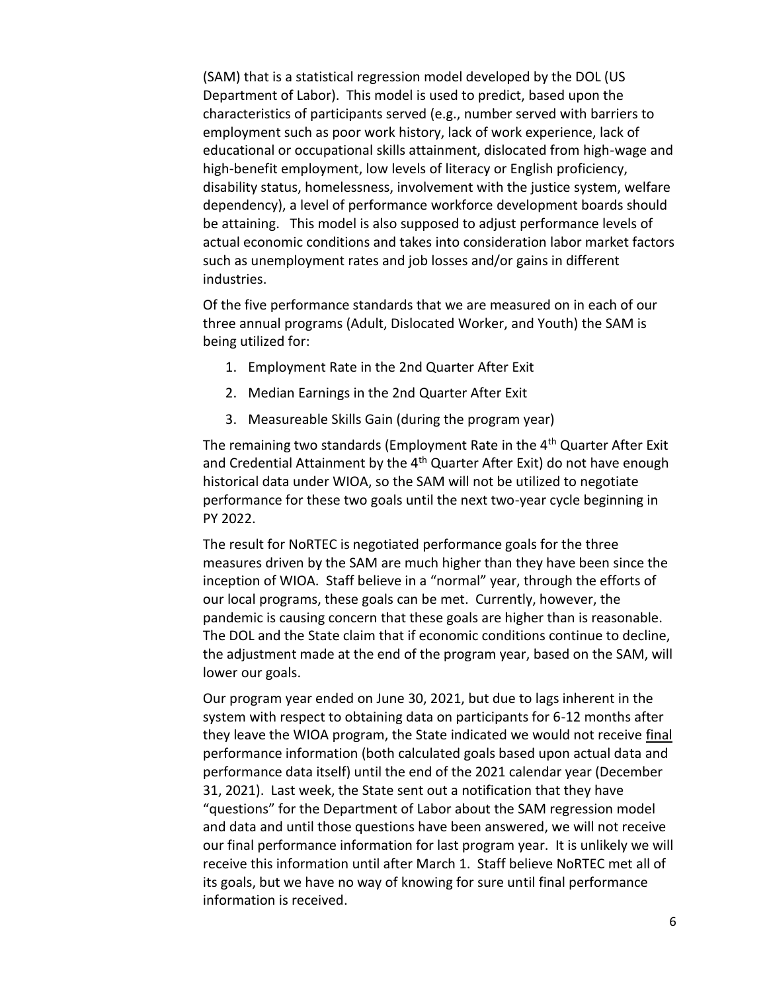(SAM) that is a statistical regression model developed by the DOL (US Department of Labor). This model is used to predict, based upon the characteristics of participants served (e.g., number served with barriers to employment such as poor work history, lack of work experience, lack of educational or occupational skills attainment, dislocated from high-wage and high-benefit employment, low levels of literacy or English proficiency, disability status, homelessness, involvement with the justice system, welfare dependency), a level of performance workforce development boards should be attaining. This model is also supposed to adjust performance levels of actual economic conditions and takes into consideration labor market factors such as unemployment rates and job losses and/or gains in different industries.

Of the five performance standards that we are measured on in each of our three annual programs (Adult, Dislocated Worker, and Youth) the SAM is being utilized for:

- 1. Employment Rate in the 2nd Quarter After Exit
- 2. Median Earnings in the 2nd Quarter After Exit
- 3. Measureable Skills Gain (during the program year)

The remaining two standards (Employment Rate in the 4<sup>th</sup> Quarter After Exit and Credential Attainment by the  $4<sup>th</sup>$  Quarter After Exit) do not have enough historical data under WIOA, so the SAM will not be utilized to negotiate performance for these two goals until the next two-year cycle beginning in PY 2022.

The result for NoRTEC is negotiated performance goals for the three measures driven by the SAM are much higher than they have been since the inception of WIOA. Staff believe in a "normal" year, through the efforts of our local programs, these goals can be met. Currently, however, the pandemic is causing concern that these goals are higher than is reasonable. The DOL and the State claim that if economic conditions continue to decline, the adjustment made at the end of the program year, based on the SAM, will lower our goals.

Our program year ended on June 30, 2021, but due to lags inherent in the system with respect to obtaining data on participants for 6-12 months after they leave the WIOA program, the State indicated we would not receive final performance information (both calculated goals based upon actual data and performance data itself) until the end of the 2021 calendar year (December 31, 2021). Last week, the State sent out a notification that they have "questions" for the Department of Labor about the SAM regression model and data and until those questions have been answered, we will not receive our final performance information for last program year. It is unlikely we will receive this information until after March 1. Staff believe NoRTEC met all of its goals, but we have no way of knowing for sure until final performance information is received.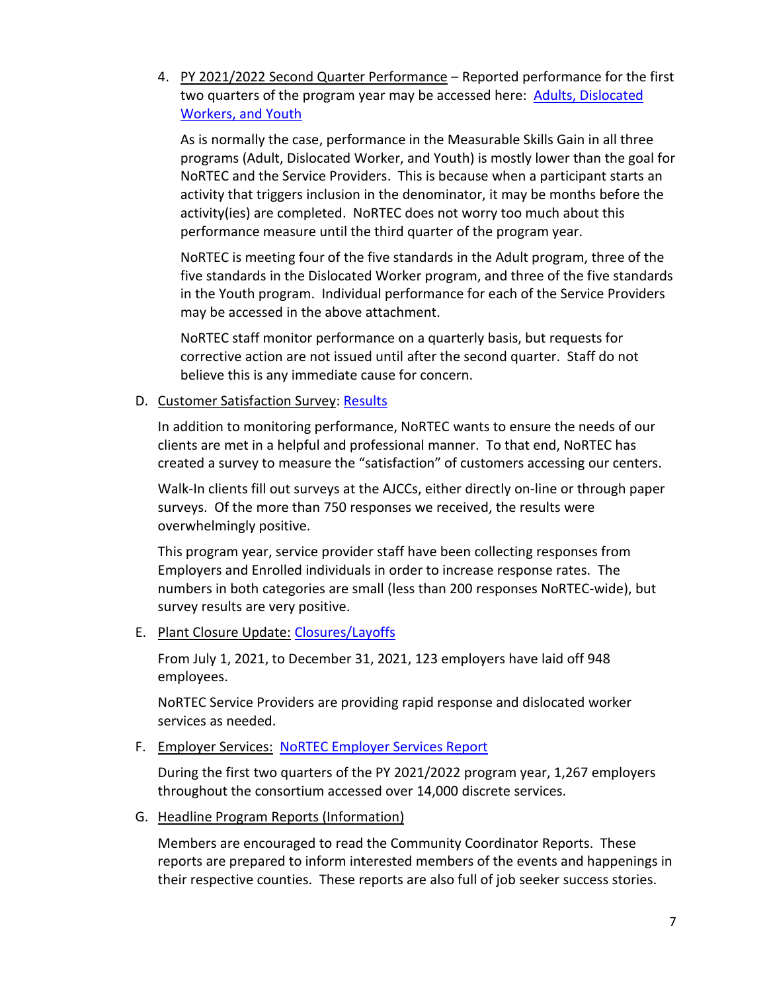4. PY 2021/2022 Second Quarter Performance – Reported performance for the first two quarters of the program year may be accessed here: **Adults, Dislocated** [Workers, and Youth](https://www.ncen.org/images/documents/meetings/2021-2022/contract-performance-123121.pdf) 

As is normally the case, performance in the Measurable Skills Gain in all three programs (Adult, Dislocated Worker, and Youth) is mostly lower than the goal for NoRTEC and the Service Providers. This is because when a participant starts an activity that triggers inclusion in the denominator, it may be months before the activity(ies) are completed. NoRTEC does not worry too much about this performance measure until the third quarter of the program year.

NoRTEC is meeting four of the five standards in the Adult program, three of the five standards in the Dislocated Worker program, and three of the five standards in the Youth program. Individual performance for each of the Service Providers may be accessed in the above attachment.

NoRTEC staff monitor performance on a quarterly basis, but requests for corrective action are not issued until after the second quarter. Staff do not believe this is any immediate cause for concern.

#### D. Customer Satisfaction Survey: [Results](https://www.ncen.org/images/documents/meetings/2021-2022/customer-satisfaction-123121.pdf)

In addition to monitoring performance, NoRTEC wants to ensure the needs of our clients are met in a helpful and professional manner. To that end, NoRTEC has created a survey to measure the "satisfaction" of customers accessing our centers.

Walk-In clients fill out surveys at the AJCCs, either directly on-line or through paper surveys. Of the more than 750 responses we received, the results were overwhelmingly positive.

This program year, service provider staff have been collecting responses from Employers and Enrolled individuals in order to increase response rates. The numbers in both categories are small (less than 200 responses NoRTEC-wide), but survey results are very positive.

#### E. Plant Closure Update: [Closures/Layoffs](https://www.ncen.org/images/documents/meetings/2021-2022/plant-closures-123121.pdf)

From July 1, 2021, to December 31, 2021, 123 employers have laid off 948 employees.

NoRTEC Service Providers are providing rapid response and dislocated worker services as needed.

#### F. Employer Services: [NoRTEC Employer Services Report](https://www.ncen.org/images/documents/meetings/2021-2022/employer-services-123121.pdf)

During the first two quarters of the PY 2021/2022 program year, 1,267 employers throughout the consortium accessed over 14,000 discrete services.

G. Headline Program Reports (Information)

Members are encouraged to read the Community Coordinator Reports. These reports are prepared to inform interested members of the events and happenings in their respective counties. These reports are also full of job seeker success stories.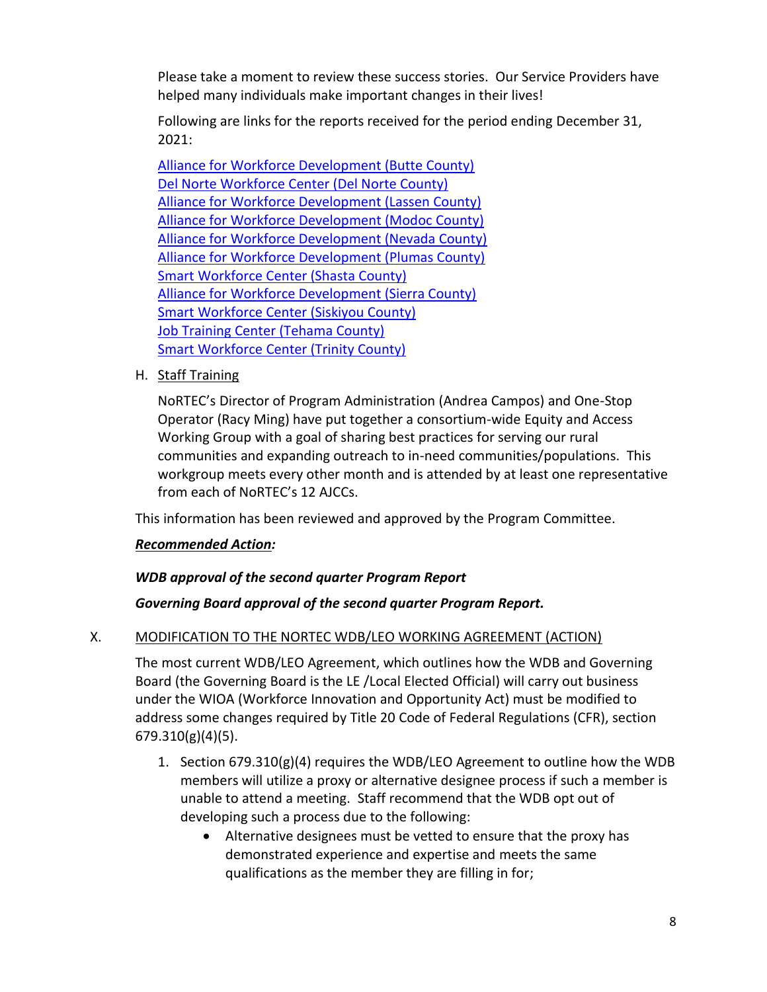Please take a moment to review these success stories. Our Service Providers have helped many individuals make important changes in their lives!

Following are links for the reports received for the period ending December 31, 2021:

[Alliance for Workforce Development \(Butte County\)](https://afwd.org/wp-content/uploads/ccr/CCR-Butte/butte_q4_21.pdf) [Del Norte Workforce Center \(Del Norte County\)](https://www.thesmartcenter.biz/sites/thesmartcenter.biz/files/2022-01/DEC%202021%20CC%20report%20del%20Norte.pdf) [Alliance for Workforce Development \(Lassen County\)](https://afwd.org/wp-content/uploads/ccr/CCR-Lassen/lassen_q4_21.pdf) [Alliance for Workforce Development \(Modoc County\)](https://afwd.org/wp-content/uploads/ccr/CCR-Modoc/modoc_q4_21.pdf) [Alliance for Workforce Development \(Nevada County\)](https://afwd.org/wp-content/uploads/ccr/CCR-Nevada/nevada_q4_21.pdf) [Alliance for Workforce Development \(Plumas County\)](https://afwd.org/wp-content/uploads/ccr/CCR-Plumas/plumas_q4_21.pdf) [Smart Workforce Center \(Shasta County\)](https://www.thesmartcenter.biz/sites/thesmartcenter.biz/files/2022-01/DEC%202021%20CC%20report%20shasta.pdf) [Alliance for Workforce Development \(Sierra County\)](https://afwd.org/wp-content/uploads/ccr/CCR-Sierra/sierra_q4_21.pdf) [Smart Workforce Center](https://www.thesmartcenter.biz/sites/thesmartcenter.biz/files/2022-01/DEC%202021%20CC%20report%20siskiyou.pdf) (Siskiyou County) [Job Training Center \(Tehama County\)](https://www.jobtrainingcenter.org/wp-content/uploads/2022/01/October-December-2021.pdf) Smart Workforce [Center \(Trinity County\)](https://www.thesmartcenter.biz/sites/thesmartcenter.biz/files/2022-01/DEC%202021%20CC%20report%20trinity.pdf)

## H. Staff Training

NoRTEC's Director of Program Administration (Andrea Campos) and One-Stop Operator (Racy Ming) have put together a consortium-wide Equity and Access Working Group with a goal of sharing best practices for serving our rural communities and expanding outreach to in-need communities/populations. This workgroup meets every other month and is attended by at least one representative from each of NoRTEC's 12 AJCCs.

This information has been reviewed and approved by the Program Committee.

## *Recommended Action:*

## *WDB approval of the second quarter Program Report*

## *Governing Board approval of the second quarter Program Report.*

#### X. MODIFICATION TO THE NORTEC WDB/LEO WORKING AGREEMENT (ACTION)

The most current WDB/LEO Agreement, which outlines how the WDB and Governing Board (the Governing Board is the LE /Local Elected Official) will carry out business under the WIOA (Workforce Innovation and Opportunity Act) must be modified to address some changes required by Title 20 Code of Federal Regulations (CFR), section 679.310(g)(4)(5).

- 1. Section 679.310(g)(4) requires the WDB/LEO Agreement to outline how the WDB members will utilize a proxy or alternative designee process if such a member is unable to attend a meeting. Staff recommend that the WDB opt out of developing such a process due to the following:
	- Alternative designees must be vetted to ensure that the proxy has demonstrated experience and expertise and meets the same qualifications as the member they are filling in for;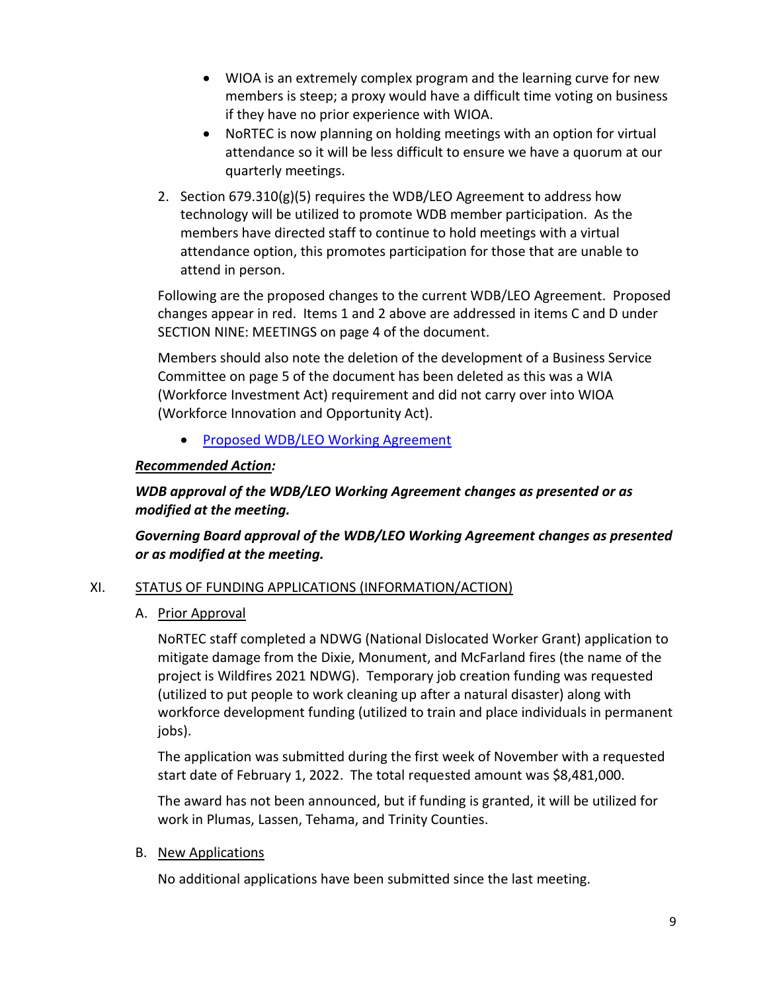- WIOA is an extremely complex program and the learning curve for new members is steep; a proxy would have a difficult time voting on business if they have no prior experience with WIOA.
- NoRTEC is now planning on holding meetings with an option for virtual attendance so it will be less difficult to ensure we have a quorum at our quarterly meetings.
- 2. Section 679.310(g)(5) requires the WDB/LEO Agreement to address how technology will be utilized to promote WDB member participation. As the members have directed staff to continue to hold meetings with a virtual attendance option, this promotes participation for those that are unable to attend in person.

Following are the proposed changes to the current WDB/LEO Agreement. Proposed changes appear in red. Items 1 and 2 above are addressed in items C and D under SECTION NINE: MEETINGS on page 4 of the document.

Members should also note the deletion of the development of a Business Service Committee on page 5 of the document has been deleted as this was a WIA (Workforce Investment Act) requirement and did not carry over into WIOA (Workforce Innovation and Opportunity Act).

• [Proposed WDB/LEO Working Agreement](https://www.ncen.org/images/documents/meetings/2021-2022/Draft-WDB-LEO-AGREEMENT.pdf)

# *Recommended Action:*

# *WDB approval of the WDB/LEO Working Agreement changes as presented or as modified at the meeting.*

# *Governing Board approval of the WDB/LEO Working Agreement changes as presented or as modified at the meeting.*

## XI. STATUS OF FUNDING APPLICATIONS (INFORMATION/ACTION)

## A. Prior Approval

NoRTEC staff completed a NDWG (National Dislocated Worker Grant) application to mitigate damage from the Dixie, Monument, and McFarland fires (the name of the project is Wildfires 2021 NDWG). Temporary job creation funding was requested (utilized to put people to work cleaning up after a natural disaster) along with workforce development funding (utilized to train and place individuals in permanent jobs).

The application was submitted during the first week of November with a requested start date of February 1, 2022. The total requested amount was \$8,481,000.

The award has not been announced, but if funding is granted, it will be utilized for work in Plumas, Lassen, Tehama, and Trinity Counties.

#### B. New Applications

No additional applications have been submitted since the last meeting.